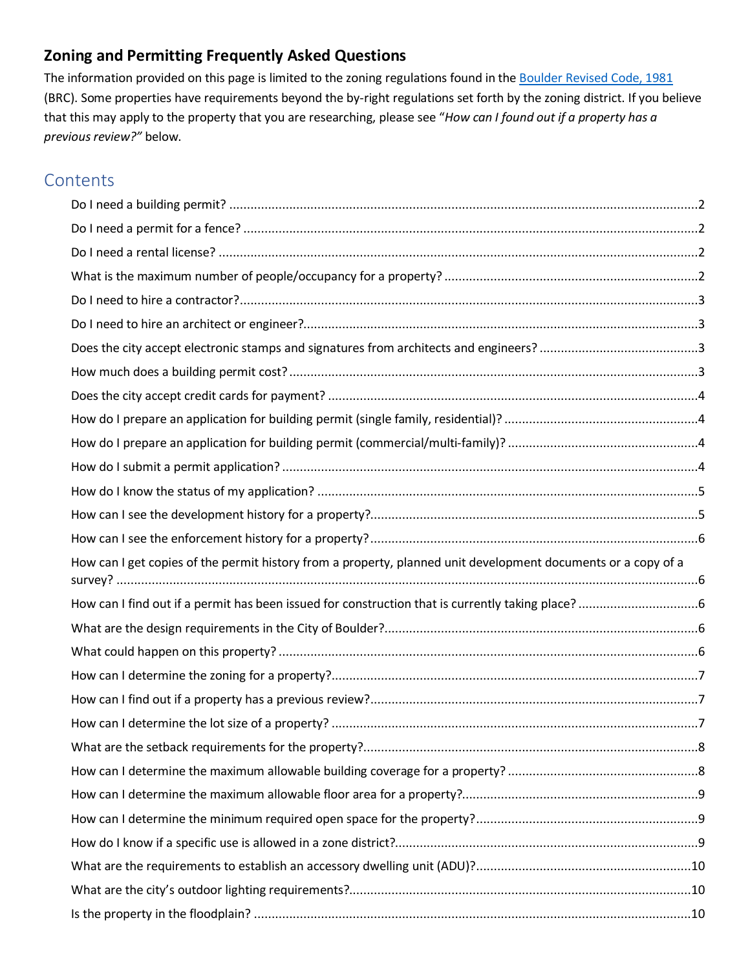# **Zoning and Permitting Frequently Asked Questions**

The information provided on this page is limited to the zoning regulations found in the [Boulder Revised Code, 1981](https://library.municode.com/co/boulder/codes/municipal_code?nodeId=TIT9LAUSCO) (BRC). Some properties have requirements beyond the by-right regulations set forth by the zoning district. If you believe that this may apply to the property that you are researching, please see "*How can I found out if a property has a previous review?"* below.

# **Contents**

| How can I get copies of the permit history from a property, planned unit development documents or a copy of a |  |
|---------------------------------------------------------------------------------------------------------------|--|
|                                                                                                               |  |
|                                                                                                               |  |
|                                                                                                               |  |
|                                                                                                               |  |
|                                                                                                               |  |
|                                                                                                               |  |
|                                                                                                               |  |
|                                                                                                               |  |
|                                                                                                               |  |
|                                                                                                               |  |
|                                                                                                               |  |
|                                                                                                               |  |
|                                                                                                               |  |
|                                                                                                               |  |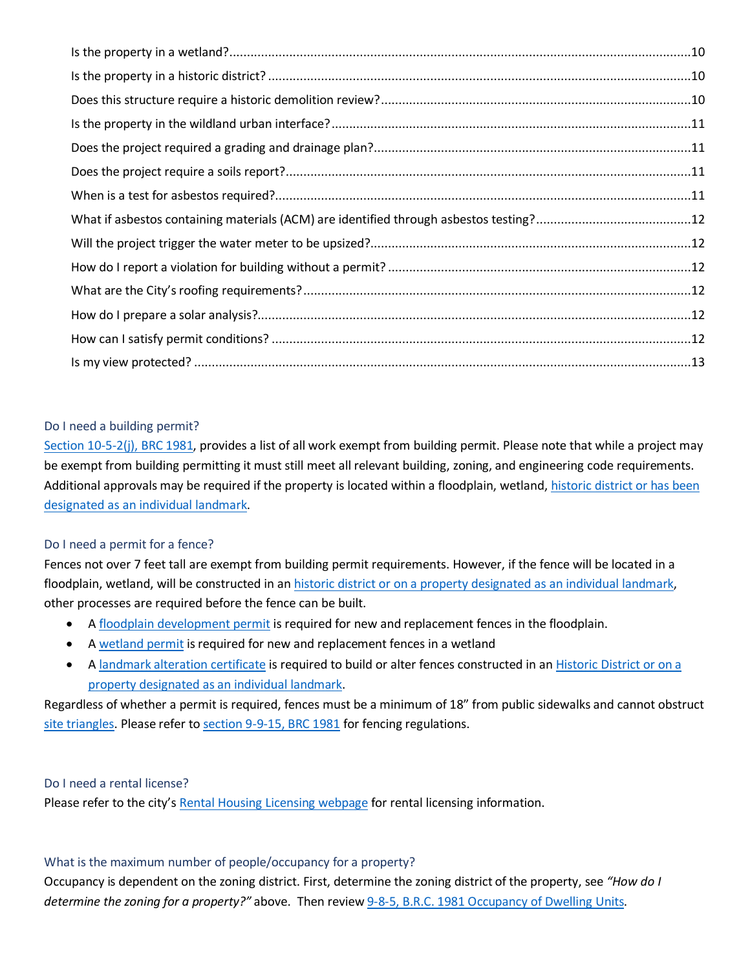### <span id="page-1-0"></span>Do I need a building permit?

[Section 10-5-2\(j\), BRC 1981,](https://library.municode.com/co/boulder/codes/municipal_code?nodeId=TIT10ST_CH5BUCO_10-5-2ADINBUCOMO) provides a list of all work exempt from building permit. Please note that while a project may be exempt from building permitting it must still meet all relevant building, zoning, and engineering code requirements. Additional approvals may be required if the property is located within a floodplain, wetland, historic district or has been [designated as an individual landmark.](https://bouldercolorado.gov/historic-preservation)

# <span id="page-1-1"></span>Do I need a permit for a fence?

Fences not over 7 feet tall are exempt from building permit requirements. However, if the fence will be located in a floodplain, wetland, will be constructed in an [historic district or on a property designated as an individual landmark,](https://bouldercolorado.gov/historic-preservation) other processes are required before the fence can be built.

- A [floodplain development permit](https://www-static.bouldercolorado.gov/docs/PDS/forms/307_fldpln_pmt_app.pdf) is required for new and replacement fences in the floodplain.
- A [wetland permit](https://www-static.bouldercolorado.gov/docs/PDS/forms/337_wetland_pmt_app.pdf) is required for new and replacement fences in a wetland
- A [landmark alteration certificate](https://bouldercolorado.gov/historic-preservation/alterations) is required to build or alter fences constructed in an [Historic District or on a](https://bouldercolorado.gov/historic-preservation)  [property designated as an](https://bouldercolorado.gov/historic-preservation) individual landmark.

Regardless of whether a permit is required, fences must be a minimum of 18" from public sidewalks and cannot obstruct [site triangles.](https://library.municode.com/co/boulder/codes/municipal_code?nodeId=TIT9LAUSCO_CH9DEST_9-9-7SITR) Please refer to [section 9-9-15, BRC 1981](https://library.municode.com/co/boulder/codes/municipal_code?nodeId=TIT9LAUSCO_CH9DEST_9-9-15FEWA) for fencing regulations.

# <span id="page-1-2"></span>Do I need a rental license?

Please refer to the city'[s Rental Housing Licensing webpage](https://bouldercolorado.gov/plan-develop/rental-housing-licensing) for rental licensing information.

# <span id="page-1-3"></span>What is the maximum number of people/occupancy for a property?

Occupancy is dependent on the zoning district. First, determine the zoning district of the property, see *"How do I determine the zoning for a property?"* above. Then review [9-8-5, B.R.C. 1981 Occupancy of Dwelling Units.](https://library.municode.com/co/boulder/codes/municipal_code?nodeId=TIT9LAUSCO_CH8INST_9-8-5OCDWUN)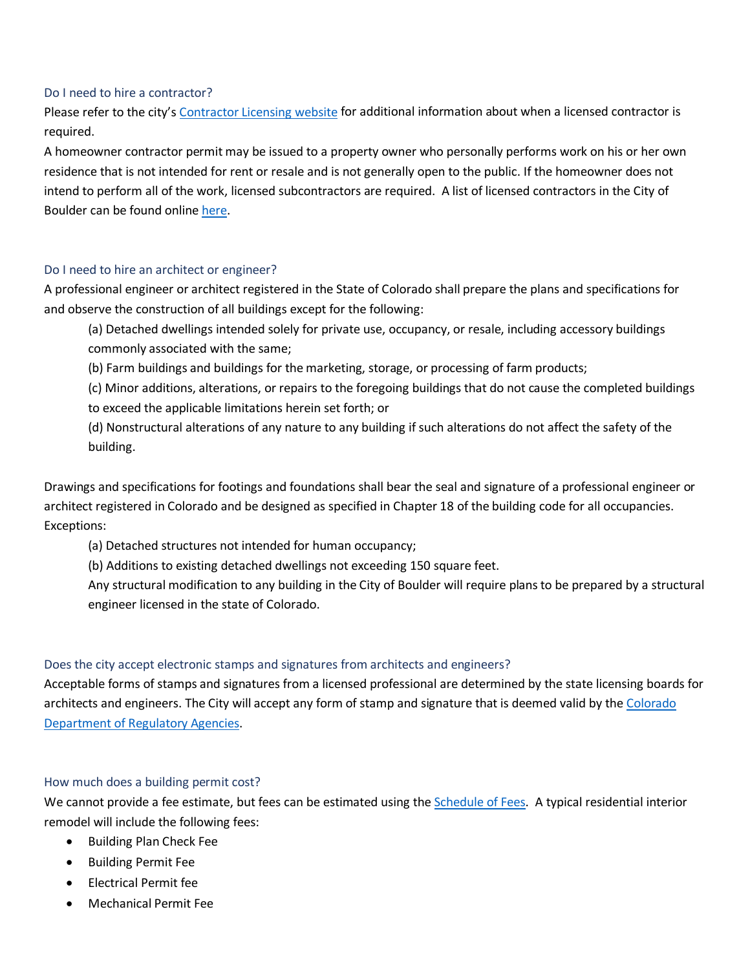#### <span id="page-2-0"></span>Do I need to hire a contractor?

Please refer to the city's [Contractor Licensing website](https://bouldercolorado.gov/plan-develop/contractor-licensing) for additional information about when a licensed contractor is required.

A homeowner contractor permit may be issued to a property owner who personally performs work on his or her own residence that is not intended for rent or resale and is not generally open to the public. If the homeowner does not intend to perform all of the work, licensed subcontractors are required. A list of licensed contractors in the City of Boulder can be found online [here.](https://bouldercolorado.gov/open-data/licensed-contractors/)

#### <span id="page-2-1"></span>Do I need to hire an architect or engineer?

A professional engineer or architect registered in the State of Colorado shall prepare the plans and specifications for and observe the construction of all buildings except for the following:

(a) Detached dwellings intended solely for private use, occupancy, or resale, including accessory buildings commonly associated with the same;

(b) Farm buildings and buildings for the marketing, storage, or processing of farm products;

(c) Minor additions, alterations, or repairs to the foregoing buildings that do not cause the completed buildings to exceed the applicable limitations herein set forth; or

(d) Nonstructural alterations of any nature to any building if such alterations do not affect the safety of the building.

Drawings and specifications for footings and foundations shall bear the seal and signature of a professional engineer or architect registered in Colorado and be designed as specified in Chapter 18 of the building code for all occupancies. Exceptions:

(a) Detached structures not intended for human occupancy;

(b) Additions to existing detached dwellings not exceeding 150 square feet.

Any structural modification to any building in the City of Boulder will require plans to be prepared by a structural engineer licensed in the state of Colorado.

#### <span id="page-2-2"></span>Does the city accept electronic stamps and signatures from architects and engineers?

Acceptable forms of stamps and signatures from a licensed professional are determined by the state licensing boards for architects and engineers. The City will accept any form of stamp and signature that is deemed valid by th[e Colorado](https://www.sos.state.co.us/CCR/GenerateRulePdf.do?ruleVersionId=2258)  [Department of Regulatory Agencies.](https://www.sos.state.co.us/CCR/GenerateRulePdf.do?ruleVersionId=2258)

#### <span id="page-2-3"></span>How much does a building permit cost?

We cannot provide a fee estimate, but fees can be estimated using th[e Schedule of Fees.](https://bouldercolorado.gov/plan-develop/applications) A typical residential interior remodel will include the following fees:

- Building Plan Check Fee
- Building Permit Fee
- Electrical Permit fee
- Mechanical Permit Fee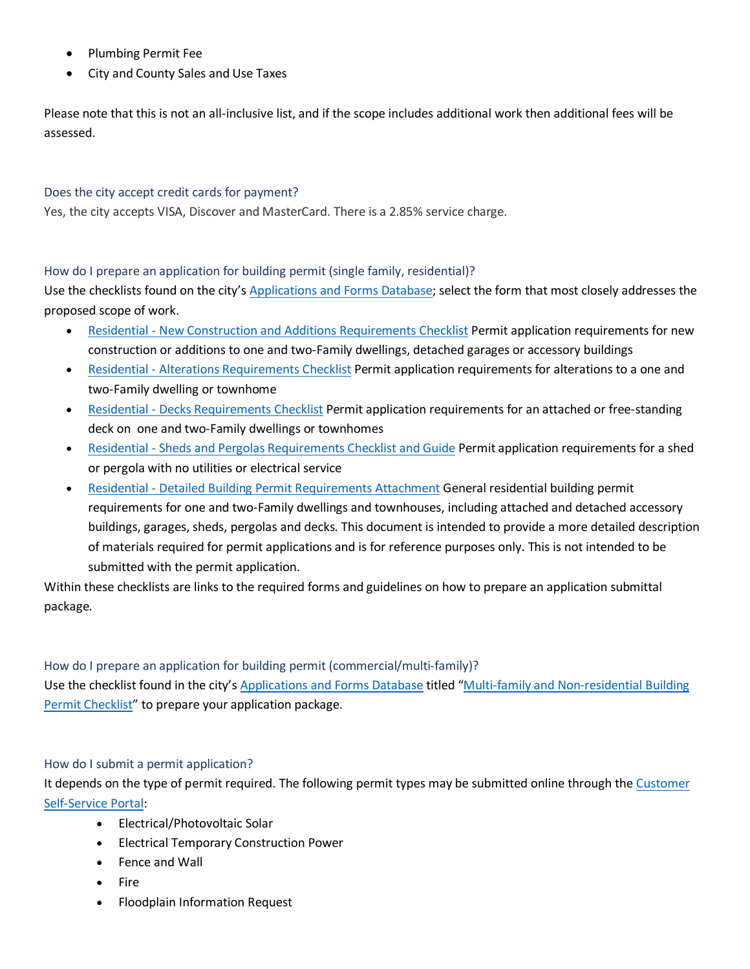- Plumbing Permit Fee
- City and County Sales and Use Taxes

Please note that this is not an all-inclusive list, and if the scope includes additional work then additional fees will be assessed.

## <span id="page-3-0"></span>Does the city accept credit cards for payment?

Yes, the city accepts VISA, Discover and MasterCard. There is a 2.85% service charge.

<span id="page-3-1"></span>How do I prepare an application for building permit (single family, residential)?

Use the checklists found on the city's [Applications and Forms Database;](https://bouldercolorado.gov/plan-develop/applications) select the form that most closely addresses the proposed scope of work.

- Residential [New Construction and Additions Requirements Checklist](https://www-static.bouldercolorado.gov/docs/PDS/forms/pmt-res-new-const-addition-checklist.pdf) Permit application requirements for new construction or additions to one and two-Family dwellings, detached garages or accessory buildings
- Residential [Alterations Requirements Checklist](https://www-static.bouldercolorado.gov/docs/PDS/forms/pmt-res-interior-remodel-checklist.pdf) Permit application requirements for alterations to a one and two-Family dwelling or townhome
- Residential [Decks Requirements Checklist](https://www-static.bouldercolorado.gov/docs/PDS/forms/pmt-res-deck-checklist.pdf) Permit application requirements for an attached or free-standing deck on one and two-Family dwellings or townhomes
- Residential [Sheds and Pergolas Requirements Checklist and Guide](https://www-static.bouldercolorado.gov/docs/PDS/forms/pmt-res-shed-pergola-checklist.pdf) Permit application requirements for a shed or pergola with no utilities or electrical service
- Residential [Detailed Building Permit Requirements Attachment](https://www-static.bouldercolorado.gov/docs/PDS/forms/301_res_bldg_pmt_app_attachment.pdf) General residential building permit requirements for one and two-Family dwellings and townhouses, including attached and detached accessory buildings, garages, sheds, pergolas and decks. This document is intended to provide a more detailed description of materials required for permit applications and is for reference purposes only. This is not intended to be submitted with the permit application.

Within these checklists are links to the required forms and guidelines on how to prepare an application submittal package.

<span id="page-3-2"></span>How do I prepare an application for building permit (commercial/multi-family)? Use the checklist found in the city's [Applications and Forms Database](https://bouldercolorado.gov/plan-develop/applications) titled ["Multi-family and Non-residential Building](https://www-static.bouldercolorado.gov/docs/PDS/forms/309_non_res_pmt_checklist.pdf)  Permit [Checklist"](https://www-static.bouldercolorado.gov/docs/PDS/forms/309_non_res_pmt_checklist.pdf) to prepare your application package.

#### <span id="page-3-3"></span>How do I submit a permit application?

It depends on the type of permit required. The following permit types may be submitted online through the Customer [Self-Service Portal:](https://energovcss.bouldercolorado.gov/EnerGov_Prod/SelfService/#/home)

- Electrical/Photovoltaic Solar
- Electrical Temporary Construction Power
- Fence and Wall
- Fire
- Floodplain Information Request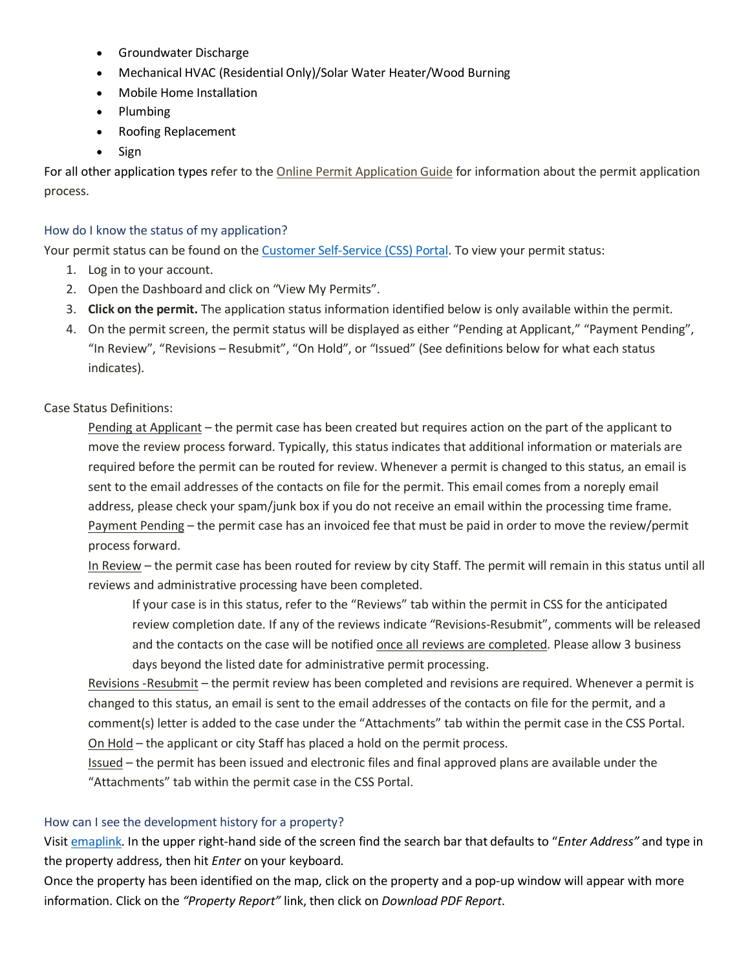- Groundwater Discharge
- Mechanical HVAC (Residential Only)/Solar Water Heater/Wood Burning
- Mobile Home Installation
- Plumbing
- Roofing Replacement
- Sign

For all other application types refer to the [Online Permit Application Guide](https://www-static.bouldercolorado.gov/docs/PMT_Electronic_Submittal_Requirements-1-202003271059.pdf) for information about the permit application process.

# <span id="page-4-0"></span>How do I know the status of my application?

Your permit status can be found on th[e Customer Self-Service \(CSS\) Portal.](https://energovcss.bouldercolorado.gov/EnerGov_Prod/SelfService/#/home) To view your permit status:

- 1. Log in to your account.
- 2. Open the Dashboard and click on "View My Permits".
- 3. **Click on the permit.** The application status information identified below is only available within the permit.
- 4. On the permit screen, the permit status will be displayed as either "Pending at Applicant," "Payment Pending", "In Review", "Revisions – Resubmit", "On Hold", or "Issued" (See definitions below for what each status indicates).

# Case Status Definitions:

Pending at Applicant – the permit case has been created but requires action on the part of the applicant to move the review process forward. Typically, this status indicates that additional information or materials are required before the permit can be routed for review. Whenever a permit is changed to this status, an email is sent to the email addresses of the contacts on file for the permit. This email comes from a noreply email address, please check your spam/junk box if you do not receive an email within the processing time frame. Payment Pending – the permit case has an invoiced fee that must be paid in order to move the review/permit process forward.

In Review – the permit case has been routed for review by city Staff. The permit will remain in this status until all reviews and administrative processing have been completed.

If your case is in this status, refer to the "Reviews" tab within the permit in CSS for the anticipated review completion date. If any of the reviews indicate "Revisions-Resubmit", comments will be released and the contacts on the case will be notified once all reviews are completed. Please allow 3 business days beyond the listed date for administrative permit processing.

Revisions -Resubmit – the permit review has been completed and revisions are required. Whenever a permit is changed to this status, an email is sent to the email addresses of the contacts on file for the permit, and a comment(s) letter is added to the case under the "Attachments" tab within the permit case in the CSS Portal. On Hold – the applicant or city Staff has placed a hold on the permit process.

Issued – the permit has been issued and electronic files and final approved plans are available under the "Attachments" tab within the permit case in the CSS Portal.

# <span id="page-4-1"></span>How can I see the development history for a property?

Visit [emaplink.](https://bouldercolorado.gov/links/fetch/10694) In the upper right-hand side of the screen find the search bar that defaults to "*Enter Address"* and type in the property address, then hit *Enter* on your keyboard.

Once the property has been identified on the map, click on the property and a pop-up window will appear with more information. Click on the *"Property Report"* link, then click on *Download PDF Report*.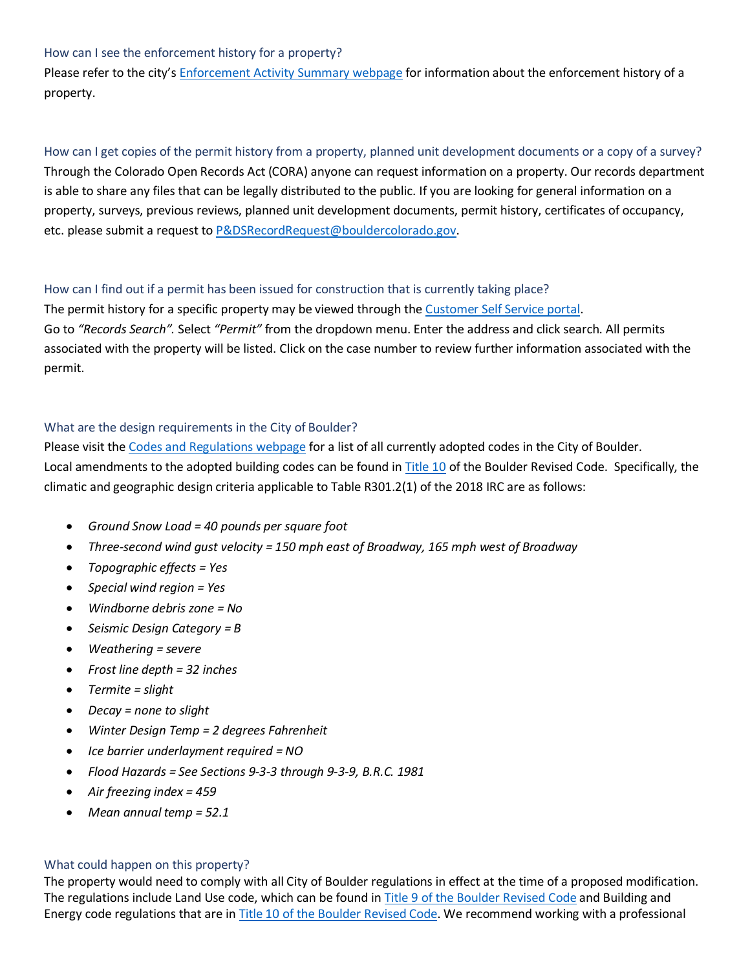#### <span id="page-5-0"></span>How can I see the enforcement history for a property?

Please refer to the city'[s Enforcement Activity Summary webpage](https://bouldercolorado.gov/planning/property-search-for-summary-of-enforcement-activity) for information about the enforcement history of a property.

<span id="page-5-1"></span>How can I get copies of the permit history from a property, planned unit development documents or a copy of a survey? Through the Colorado Open Records Act (CORA) anyone can request information on a property. Our records department is able to share any files that can be legally distributed to the public. If you are looking for general information on a property, surveys, previous reviews, planned unit development documents, permit history, certificates of occupancy, etc. please submit a request t[o P&DSRecordRequest@bouldercolorado.gov.](mailto:P&DSRecordRequest@bouldercolorado.gov)

# <span id="page-5-2"></span>How can I find out if a permit has been issued for construction that is currently taking place?

The permit history for a specific property may be viewed through th[e Customer Self Service portal.](https://energovcss.bouldercolorado.gov/EnerGov_Prod/SelfService/#/home) Go to *"Records Search".* Select *"Permit"* from the dropdown menu. Enter the address and click search. All permits associated with the property will be listed. Click on the case number to review further information associated with the permit.

# <span id="page-5-3"></span>What are the design requirements in the City of Boulder?

Please visit the [Codes and Regulations webpage](https://bouldercolorado.gov/plan-develop/codes-and-regulations) for a list of all currently adopted codes in the City of Boulder. Local amendments to the adopted building codes can be found in [Title 10](https://library.municode.com/co/boulder/codes/municipal_code?nodeId=TIT10ST) of the Boulder Revised Code. Specifically, the climatic and geographic design criteria applicable to Table R301.2(1) of the 2018 IRC are as follows:

- *Ground Snow Load = 40 pounds per square foot*
- *Three-second wind gust velocity = 150 mph east of Broadway, 165 mph west of Broadway*
- *Topographic effects = Yes*
- *Special wind region = Yes*
- *Windborne debris zone = No*
- *Seismic Design Category = B*
- *Weathering = severe*
- *Frost line depth = 32 inches*
- *Termite = slight*
- *Decay = none to slight*
- *Winter Design Temp = 2 degrees Fahrenheit*
- *Ice barrier underlayment required = NO*
- *Flood Hazards = See Sections 9-3-3 through 9-3-9, B.R.C. 1981*
- *Air freezing index = 459*
- *Mean annual temp = 52.1*

#### <span id="page-5-4"></span>What could happen on this property?

The property would need to comply with all City of Boulder regulations in effect at the time of a proposed modification. The regulations include Land Use code, which can be found i[n Title 9 of the Boulder Revised Code](https://library.municode.com/co/boulder/codes/municipal_code?nodeId=TIT9LAUSCO) and Building and Energy code regulations that are i[n Title 10 of the Boulder Revised Code.](https://library.municode.com/co/boulder/codes/municipal_code?nodeId=TIT10ST) We recommend working with a professional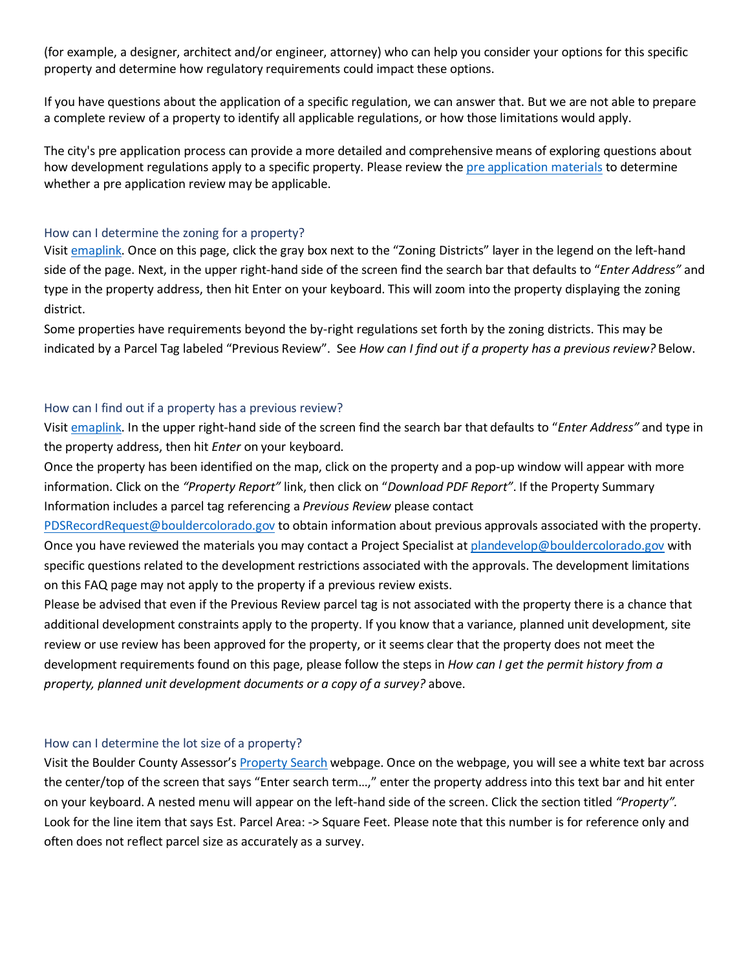(for example, a designer, architect and/or engineer, attorney) who can help you consider your options for this specific property and determine how regulatory requirements could impact these options.

If you have questions about the application of a specific regulation, we can answer that. But we are not able to prepare a complete review of a property to identify all applicable regulations, or how those limitations would apply.

The city's pre application process can provide a more detailed and comprehensive means of exploring questions about how development regulations apply to a specific property. Please review th[e pre application materials](https://gcc02.safelinks.protection.outlook.com/?url=https%3A%2F%2Fwww-static.bouldercolorado.gov%2Fdocs%2FPDS%2Fforms%2F201_pre-app.pdf&data=02%7C01%7CEastonS%40bouldercolorado.gov%7C7f3913b3cb6f471d529108d8448f2af6%7C0a7f94bb40af4edcafad2c1af27bc0f3%7C0%7C0%7C637334728969779337&sdata=W%2FKOnLfq19I%2F63tohszMkrRpISB41tsLiCxrSrLeiHU%3D&reserved=0) to determine whether a pre application review may be applicable.

#### <span id="page-6-0"></span>How can I determine the zoning for a property?

Visit [emaplink.](https://bouldercolorado.gov/links/fetch/10694) Once on this page, click the gray box next to the "Zoning Districts" layer in the legend on the left-hand side of the page. Next, in the upper right-hand side of the screen find the search bar that defaults to "*Enter Address"* and type in the property address, then hit Enter on your keyboard. This will zoom into the property displaying the zoning district.

Some properties have requirements beyond the by-right regulations set forth by the zoning districts. This may be indicated by a Parcel Tag labeled "Previous Review". See *How can I find out if a property has a previous review?* Below.

#### <span id="page-6-1"></span>How can I find out if a property has a previous review?

Visit [emaplink.](https://bouldercolorado.gov/links/fetch/10694) In the upper right-hand side of the screen find the search bar that defaults to "*Enter Address"* and type in the property address, then hit *Enter* on your keyboard.

Once the property has been identified on the map, click on the property and a pop-up window will appear with more information. Click on the *"Property Report"* link, then click on "*Download PDF Report"*. If the Property Summary Information includes a parcel tag referencing a *Previous Review* please contact

[PDSRecordRequest@bouldercolorado.gov](mailto:PDSRecordRequest@bouldercolorado.gov) to obtain information about previous approvals associated with the property. Once you have reviewed the materials you may contact a Project Specialist a[t plandevelop@bouldercolorado.gov](mailto:plandevelop@bouldercolorado.gov) with specific questions related to the development restrictions associated with the approvals. The development limitations on this FAQ page may not apply to the property if a previous review exists.

Please be advised that even if the Previous Review parcel tag is not associated with the property there is a chance that additional development constraints apply to the property. If you know that a variance, planned unit development, site review or use review has been approved for the property, or it seems clear that the property does not meet the development requirements found on this page, please follow the steps in *How can I get the permit history from a property, planned unit development documents or a copy of a survey?* above.

#### <span id="page-6-2"></span>How can I determine the lot size of a property?

Visit the Boulder County Assessor'[s Property Search](https://maps.boco.solutions/propertysearch/) webpage. Once on the webpage, you will see a white text bar across the center/top of the screen that says "Enter search term…," enter the property address into this text bar and hit enter on your keyboard. A nested menu will appear on the left-hand side of the screen. Click the section titled *"Property".* Look for the line item that says Est. Parcel Area: -> Square Feet. Please note that this number is for reference only and often does not reflect parcel size as accurately as a survey.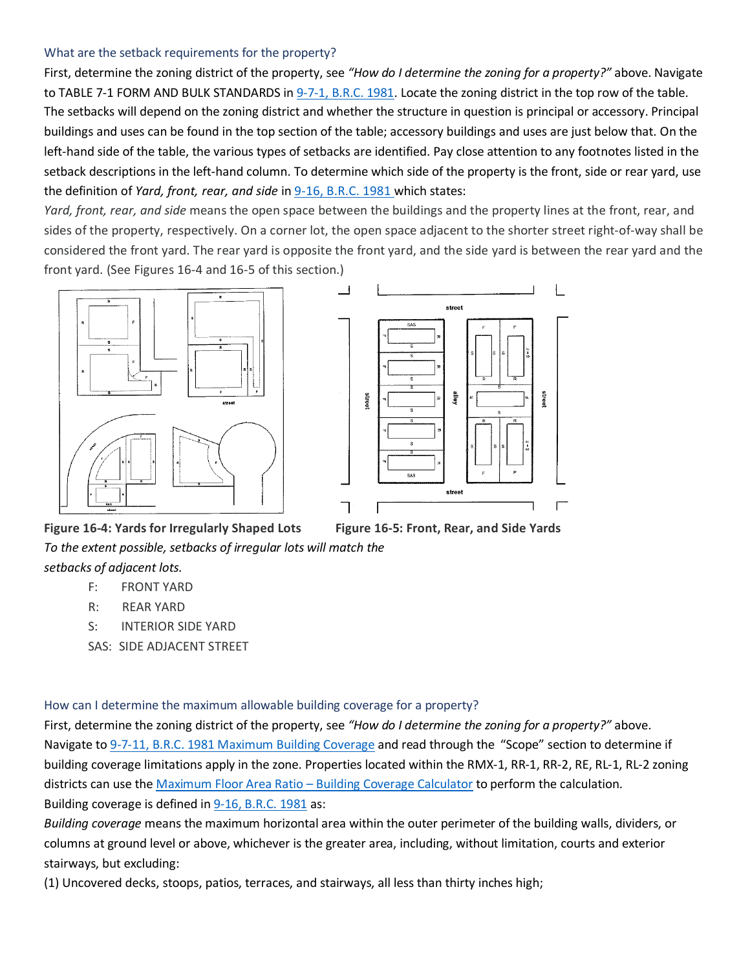#### <span id="page-7-0"></span>What are the setback requirements for the property?

First, determine the zoning district of the property, see *"How do I determine the zoning for a property?"* above. Navigate to TABLE 7-1 FORM AND BULK STANDARDS in [9-7-1, B.R.C. 1981.](https://library.municode.com/co/boulder/codes/municipal_code?nodeId=TIT9LAUSCO_CH7FOBUST_9-7-1SCFOBUST) Locate the zoning district in the top row of the table. The setbacks will depend on the zoning district and whether the structure in question is principal or accessory. Principal buildings and uses can be found in the top section of the table; accessory buildings and uses are just below that. On the left-hand side of the table, the various types of setbacks are identified. Pay close attention to any footnotes listed in the setback descriptions in the left-hand column. To determine which side of the property is the front, side or rear yard, use the definition of *[Yard, front, rear, and side](https://library.municode.com/co/boulder/codes/municipal_code?nodeId=TIT9LAUSCO_CH16DE05)* in [9-16, B.R.C. 1981](https://library.municode.com/co/boulder/codes/municipal_code?nodeId=TIT9LAUSCO_CH16DE) which states:

*Yard, front, rear, and side* means the open space between the buildings and the property lines at the front, rear, and sides of the property, respectively. On a corner lot, the open space adjacent to the shorter street right-of-way shall be considered the front yard. The rear yard is opposite the front yard, and the side yard is between the rear yard and the front yard. (See Figures 16-4 and 16-5 of this section.)





**Figure 16-4: Yards for Irregularly Shaped Lots Figure 16-5: Front, Rear, and Side Yards** *To the extent possible, setbacks of irregular lots will match the setbacks of adjacent lots.*

# F: FRONT YARD

- R: REAR YARD
- S: INTERIOR SIDE YARD
- SAS: SIDE ADJACENT STREET

<span id="page-7-1"></span>How can I determine the maximum allowable building coverage for a property?

First, determine the zoning district of the property, see *"How do I determine the zoning for a property?"* above. Navigate to [9-7-11, B.R.C. 1981 Maximum Building Coverage](https://library.municode.com/co/boulder/codes/municipal_code?nodeId=TIT9LAUSCO_CH7FOBUST_9-7-11MABUCO) and read through the "Scope" section to determine if building coverage limitations apply in the zone. Properties located within the RMX-1, RR-1, RR-2, RE, RL-1, RL-2 zoning districts can use th[e Maximum Floor Area Ratio –](https://bouldercolorado.gov/plan-develop/maximum-floor-area-ratio-building-coverage-calculator) Building Coverage Calculator to perform the calculation. Building coverage is defined i[n 9-16, B.R.C. 1981](https://library.municode.com/co/boulder/codes/municipal_code?nodeId=TIT9LAUSCO_CH16DE) as:

*Building coverage* means the maximum horizontal area within the outer perimeter of the building walls, dividers, or columns at ground level or above, whichever is the greater area, including, without limitation, courts and exterior stairways, but excluding:

(1) Uncovered decks, stoops, patios, terraces, and stairways, all less than thirty inches high;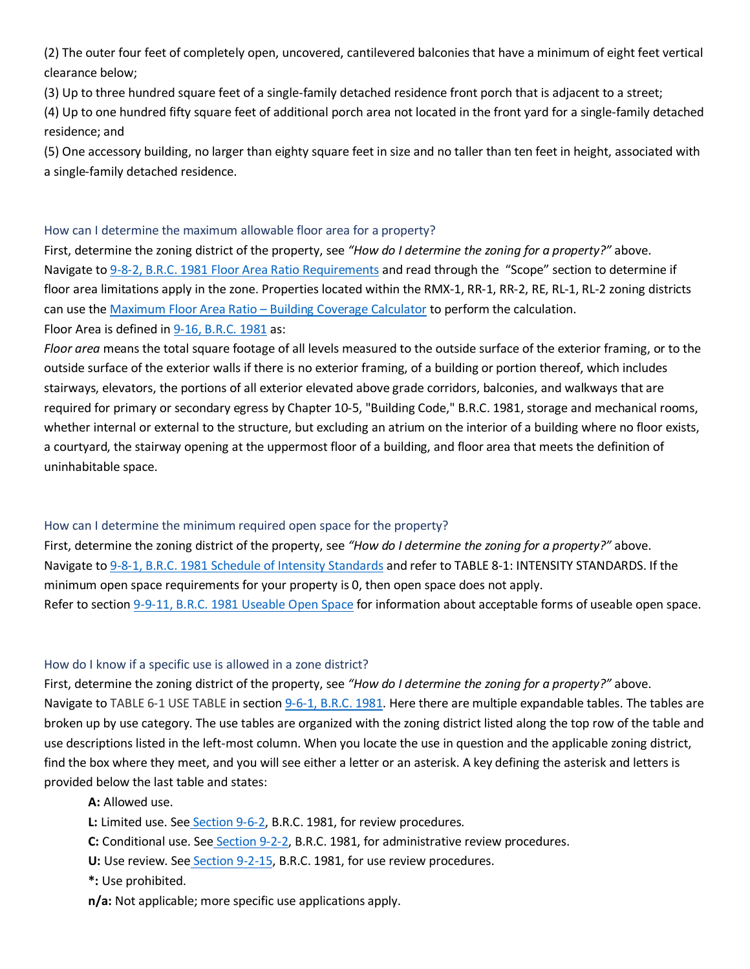(2) The outer four feet of completely open, uncovered, cantilevered balconies that have a minimum of eight feet vertical clearance below;

(3) Up to three hundred square feet of a single-family detached residence front porch that is adjacent to a street;

(4) Up to one hundred fifty square feet of additional porch area not located in the front yard for a single-family detached residence; and

(5) One accessory building, no larger than eighty square feet in size and no taller than ten feet in height, associated with a single-family detached residence.

#### <span id="page-8-0"></span>How can I determine the maximum allowable floor area for a property?

First, determine the zoning district of the property, see *"How do I determine the zoning for a property?"* above. Navigate to 9-8-2, B.R.C. [1981 Floor Area Ratio Requirements](https://library.municode.com/co/boulder/codes/municipal_code?nodeId=TIT9LAUSCO_CH8INST_9-8-2FLARRARE) and read through the "Scope" section to determine if floor area limitations apply in the zone. Properties located within the RMX-1, RR-1, RR-2, RE, RL-1, RL-2 zoning districts can use th[e Maximum Floor Area Ratio –](https://bouldercolorado.gov/plan-develop/maximum-floor-area-ratio-building-coverage-calculator) Building Coverage Calculator to perform the calculation. Floor Area is defined i[n 9-16, B.R.C. 1981](https://library.municode.com/co/boulder/codes/municipal_code?nodeId=TIT9LAUSCO_CH16DE) as:

*Floor area* means the total square footage of all levels measured to the outside surface of the exterior framing, or to the outside surface of the exterior walls if there is no exterior framing, of a building or portion thereof, which includes stairways, elevators, the portions of all exterior elevated above grade corridors, balconies, and walkways that are required for primary or secondary egress by Chapter 10-5, "Building Code," B.R.C. 1981, storage and mechanical rooms, whether internal or external to the structure, but excluding an atrium on the interior of a building where no floor exists, a courtyard, the stairway opening at the uppermost floor of a building, and floor area that meets the definition of uninhabitable space.

# <span id="page-8-1"></span>How can I determine the minimum required open space for the property?

First, determine the zoning district of the property, see *"How do I determine the zoning for a property?"* above. Navigate to [9-8-1, B.R.C. 1981 Schedule of Intensity Standards](https://library.municode.com/co/boulder/codes/municipal_code?nodeId=TIT9LAUSCO_CH8INST) and refer to TABLE 8-1: INTENSITY STANDARDS. If the minimum open space requirements for your property is 0, then open space does not apply. Refer to section [9-9-11, B.R.C. 1981 Useable Open Space](https://library.municode.com/co/boulder/codes/municipal_code?nodeId=TIT9LAUSCO_CH9DEST_9-9-11USOPSP) for information about acceptable forms of useable open space.

#### <span id="page-8-2"></span>How do I know if a specific use is allowed in a zone district?

First, determine the zoning district of the property, see *"How do I determine the zoning for a property?"* above. Navigate to TABLE 6-1 USE TABLE in section [9-6-1, B.R.C. 1981.](https://library.municode.com/co/boulder/codes/municipal_code?nodeId=TIT9LAUSCO_CH6USST_9-6-1SCPELAUS) Here there are multiple expandable tables. The tables are broken up by use category. The use tables are organized with the zoning district listed along the top row of the table and use descriptions listed in the left-most column. When you locate the use in question and the applicable zoning district, find the box where they meet, and you will see either a letter or an asterisk. A key defining the asterisk and letters is provided below the last table and states:

#### **A:** Allowed use.

- **L:** Limited use. See [Section 9-6-2,](https://library.municode.com/co/boulder/codes/municipal_code?nodeId=TIT9LAUSCO_CH6USST_9-6-2LIUSSTEN) B.R.C. 1981, for review procedures.
- **C:** Conditional use. See [Section 9-2-2,](https://library.municode.com/co/boulder/codes/municipal_code?nodeId=TIT9LAUSCO_CH2REPR_9-2-2ADREPR) B.R.C. 1981, for administrative review procedures.
- **U:** Use review. See [Section 9-2-15,](https://library.municode.com/co/boulder/codes/municipal_code?nodeId=TIT9LAUSCO_CH2REPR_9-2-15USRE) B.R.C. 1981, for use review procedures.
- **\*:** Use prohibited.

**n/a:** Not applicable; more specific use applications apply.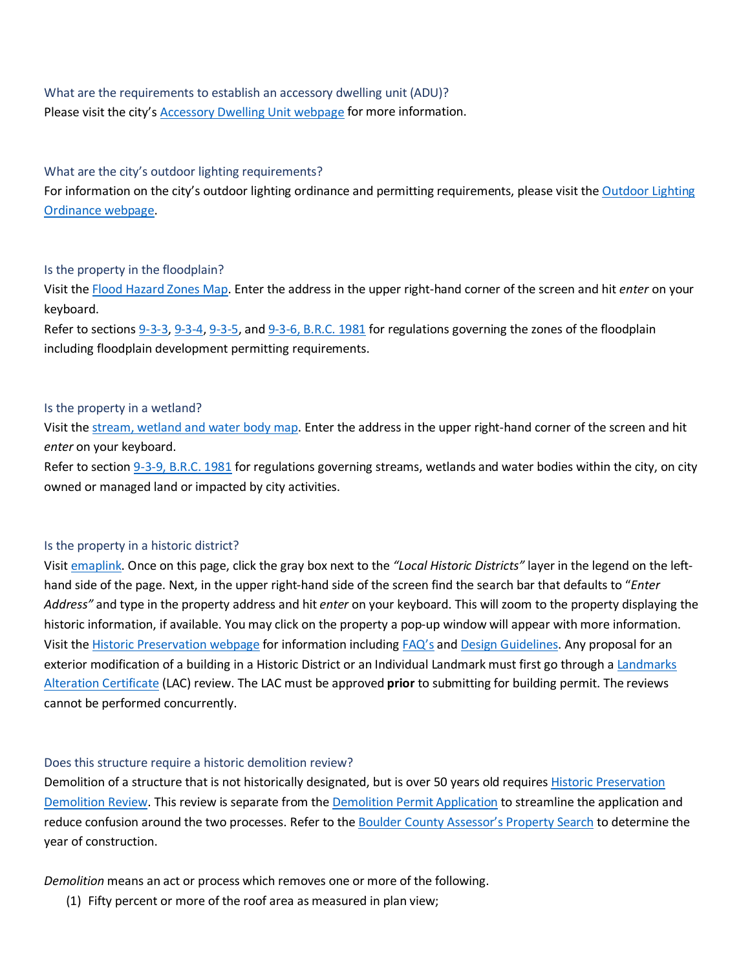# <span id="page-9-0"></span>What are the requirements to establish an accessory dwelling unit (ADU)? Please visit the city's **Accessory Dwelling Unit webpage for more information.**

#### <span id="page-9-1"></span>What are the city's outdoor lighting requirements?

For information on the city's outdoor lighting ordinance and permitting requirements, please visit the Outdoor Lighting [Ordinance webpage.](https://bouldercolorado.gov/plan-develop/outdoor-lighting-ordinance)

#### <span id="page-9-2"></span>Is the property in the floodplain?

Visit the [Flood Hazard Zones Map.](https://maps.bouldercolorado.gov/flood-zones/?_ga=2.241605056.313811420.1560976304-1503523935.1537376085) Enter the address in the upper right-hand corner of the screen and hit *enter* on your keyboard.

Refer to sections [9-3-3,](https://library.municode.com/co/boulder/codes/municipal_code?nodeId=TIT9LAUSCO_CH3OVDI_9-3-3REGOONHUARFL) [9-3-4,](https://library.municode.com/co/boulder/codes/municipal_code?nodeId=TIT9LAUSCO_CH3OVDI_9-3-4REGOCOZO) [9-3-5,](https://library.municode.com/co/boulder/codes/municipal_code?nodeId=TIT9LAUSCO_CH3OVDI_9-3-5REGOHIHAZO) and [9-3-6, B.R.C. 1981](https://library.municode.com/co/boulder/codes/municipal_code?nodeId=TIT9LAUSCO_CH3OVDI_9-3-6FLDEPE) for regulations governing the zones of the floodplain including floodplain development permitting requirements.

#### <span id="page-9-3"></span>Is the property in a wetland?

Visit the [stream, wetland and water body map.](https://maps.bouldercolorado.gov/emaplink/?layer=wetlands&_ga=2.6241651.1970405618.1583856851-959980176.1556130405) Enter the address in the upper right-hand corner of the screen and hit *enter* on your keyboard.

Refer to section [9-3-9, B.R.C. 1981](https://library.municode.com/co/boulder/codes/municipal_code?nodeId=TIT9LAUSCO_CH3OVDI_9-3-9STWEWABOPR) for regulations governing streams, wetlands and water bodies within the city, on city owned or managed land or impacted by city activities.

#### <span id="page-9-4"></span>Is the property in a historic district?

Visit [emaplink.](https://bouldercolorado.gov/links/fetch/10694) Once on this page, click the gray box next to the *"Local Historic Districts"* layer in the legend on the lefthand side of the page. Next, in the upper right-hand side of the screen find the search bar that defaults to "*Enter Address"* and type in the property address and hit *enter* on your keyboard. This will zoom to the property displaying the historic information, if available. You may click on the property a pop-up window will appear with more information. Visit the [Historic Preservation webpage](https://bouldercolorado.gov/historic-preservation) for information includin[g FAQ's](https://bouldercolorado.gov/planning/frequently-asked-questions-about-historic-preservation) and [Design Guidelines.](https://bouldercolorado.gov/historic-preservation/historic-preservation-applications-design-guidelines) Any proposal for an exterior modification of a building in a Historic District or an Individual Landmark must first go through [a Landmarks](https://bouldercolorado.gov/historic-preservation/alterations)  [Alteration Certificate](https://bouldercolorado.gov/historic-preservation/alterations) (LAC) review. The LAC must be approved **prior** to submitting for building permit. The reviews cannot be performed concurrently.

#### <span id="page-9-5"></span>Does this structure require a historic demolition review?

Demolition of a structure that is not historically designated, but is over 50 years old requires [Historic Preservation](https://bouldercolorado.gov/historic-preservation/demolitions)  [Demolition Review.](https://bouldercolorado.gov/historic-preservation/demolitions) This review is separate from the [Demolition Permit Application](https://www-static.bouldercolorado.gov/docs/PDS/forms/303_demo_pmt_app.pdf) to streamline the application and reduce confusion around the two processes. Refer to the [Boulder County Assessor's Property Search](https://maps.boco.solutions/propertysearch/) to determine the year of construction.

*Demolition* means an act or process which removes one or more of the following.

(1) Fifty percent or more of the roof area as measured in plan view;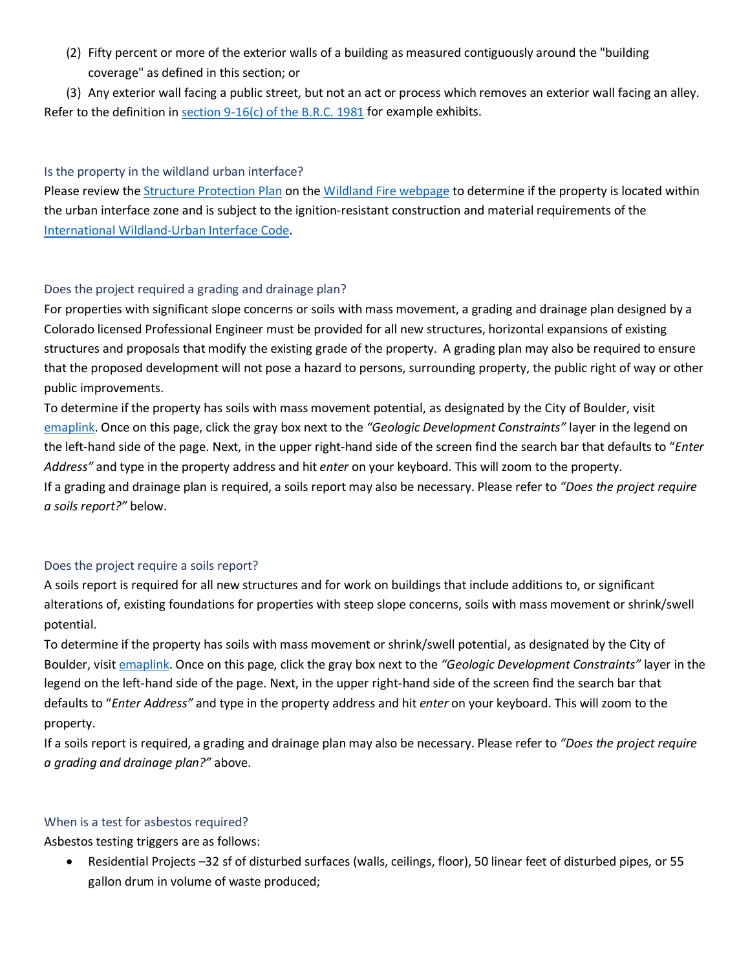(2) Fifty percent or more of the exterior walls of a building as measured contiguously around the "building coverage" as defined in this section; or

(3) Any exterior wall facing a public street, but not an act or process which removes an exterior wall facing an alley. Refer to the definition in section  $9-16(c)$  of the B.R.C. 1981 for example exhibits.

#### <span id="page-10-0"></span>Is the property in the wildland urban interface?

Please review th[e Structure Protection Plan](https://www-static.bouldercolorado.gov/docs/2012_COB_Structure_Protection_Plan-1-201309041356.pdf?_ga=2.43341229.981350618.1582752059-1313023222.1582752059) on the [Wildland Fire webpage](https://bouldercolorado.gov/fire-rescue/wildland-home) to determine if the property is located within the urban interface zone and is subject to the ignition-resistant construction and material requirements of the [International Wildland-Urban Interface Code.](https://codes.iccsafe.org/public/document/code/288/4966503)

### <span id="page-10-1"></span>Does the project required a grading and drainage plan?

For properties with significant slope concerns or soils with mass movement, a grading and drainage plan designed by a Colorado licensed Professional Engineer must be provided for all new structures, horizontal expansions of existing structures and proposals that modify the existing grade of the property. A grading plan may also be required to ensure that the proposed development will not pose a hazard to persons, surrounding property, the public right of way or other public improvements.

To determine if the property has soils with mass movement potential, as designated by the City of Boulder, visit [emaplink.](https://bouldercolorado.gov/links/fetch/10694) Once on this page, click the gray box next to the *"Geologic Development Constraints"* layer in the legend on the left-hand side of the page. Next, in the upper right-hand side of the screen find the search bar that defaults to "*Enter Address"* and type in the property address and hit *enter* on your keyboard. This will zoom to the property. If a grading and drainage plan is required, a soils report may also be necessary. Please refer to *"Does the project require a soils report?"* below.

#### <span id="page-10-2"></span>Does the project require a soils report?

A soils report is required for all new structures and for work on buildings that include additions to, or significant alterations of, existing foundations for properties with steep slope concerns, soils with mass movement or shrink/swell potential.

To determine if the property has soils with mass movement or shrink/swell potential, as designated by the City of Boulder, visit [emaplink.](https://bouldercolorado.gov/links/fetch/10694) Once on this page, click the gray box next to the *"Geologic Development Constraints"* layer in the legend on the left-hand side of the page. Next, in the upper right-hand side of the screen find the search bar that defaults to "*Enter Address"* and type in the property address and hit *enter* on your keyboard. This will zoom to the property.

If a soils report is required, a grading and drainage plan may also be necessary. Please refer to *"Does the project require a grading and drainage plan?"* above.

# <span id="page-10-3"></span>When is a test for asbestos required?

Asbestos testing triggers are as follows:

• Residential Projects –32 sf of disturbed surfaces (walls, ceilings, floor), 50 linear feet of disturbed pipes, or 55 gallon drum in volume of waste produced;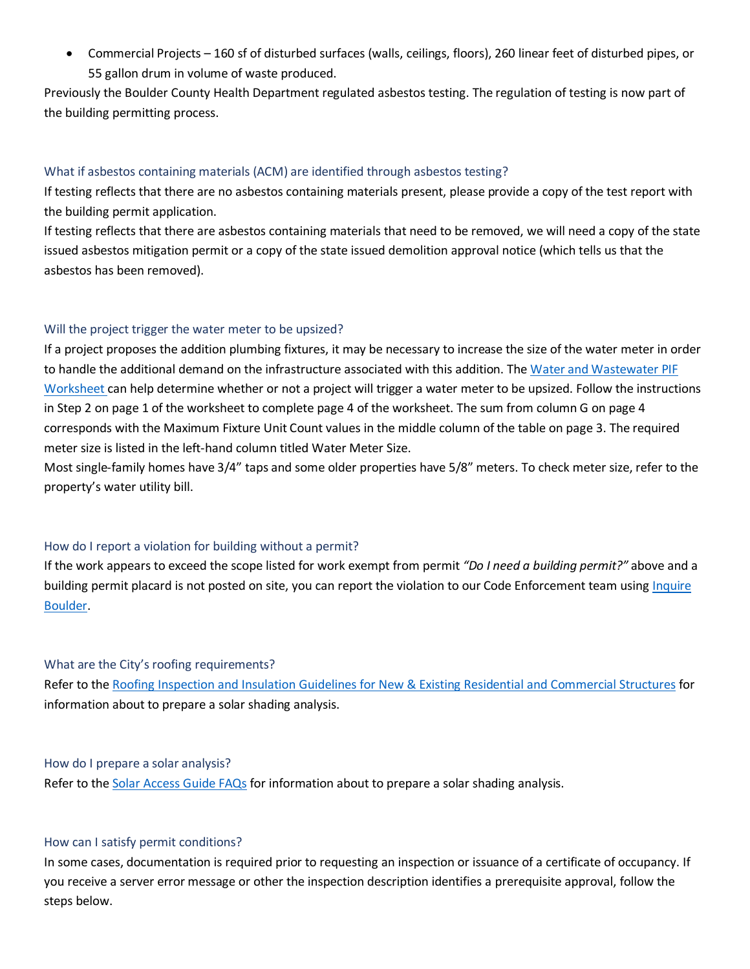• Commercial Projects – 160 sf of disturbed surfaces (walls, ceilings, floors), 260 linear feet of disturbed pipes, or 55 gallon drum in volume of waste produced.

Previously the Boulder County Health Department regulated asbestos testing. The regulation of testing is now part of the building permitting process.

#### <span id="page-11-0"></span>What if asbestos containing materials (ACM) are identified through asbestos testing?

If testing reflects that there are no asbestos containing materials present, please provide a copy of the test report with the building permit application.

If testing reflects that there are asbestos containing materials that need to be removed, we will need a copy of the state issued asbestos mitigation permit or a copy of the state issued demolition approval notice (which tells us that the asbestos has been removed).

#### <span id="page-11-1"></span>Will the project trigger the water meter to be upsized?

If a project proposes the addition plumbing fixtures, it may be necessary to increase the size of the water meter in order to handle the additional demand on the infrastructure associated with this addition. The [Water and Wastewater PIF](https://www-static.bouldercolorado.gov/docs/PDS/forms/502_water_wastewater_PIF_wksht.pdf)  [Worksheet c](https://www-static.bouldercolorado.gov/docs/PDS/forms/502_water_wastewater_PIF_wksht.pdf)an help determine whether or not a project will trigger a water meter to be upsized. Follow the instructions in Step 2 on page 1 of the worksheet to complete page 4 of the worksheet. The sum from column G on page 4 corresponds with the Maximum Fixture Unit Count values in the middle column of the table on page 3. The required meter size is listed in the left-hand column titled Water Meter Size.

Most single-family homes have 3/4" taps and some older properties have 5/8" meters. To check meter size, refer to the property's water utility bill.

#### <span id="page-11-2"></span>How do I report a violation for building without a permit?

If the work appears to exceed the scope listed for work exempt from permit *"Do I need a building permit?"* above and a building permit placard is not posted on site, you can report the violation to our Code Enforcement team usin[g Inquire](https://user.govoutreach.com/boulder/faq.php?cmd=shell)  [Boulder.](https://user.govoutreach.com/boulder/faq.php?cmd=shell)

#### <span id="page-11-3"></span>What are the City's roofing requirements?

Refer to the [Roofing Inspection and Insulation Guidelines for New & Existing Residential and Commercial Structures](https://www-static.bouldercolorado.gov/docs/PDS/forms/roofing-guidelines.pdf) for information about to prepare a solar shading analysis.

#### <span id="page-11-4"></span>How do I prepare a solar analysis?

Refer to the [Solar Access Guide FAQs](https://bouldercolorado.gov/plan-develop/solar-access-guide) for information about to prepare a solar shading analysis.

#### <span id="page-11-5"></span>How can I satisfy permit conditions?

In some cases, documentation is required prior to requesting an inspection or issuance of a certificate of occupancy. If you receive a server error message or other the inspection description identifies a prerequisite approval, follow the steps below.